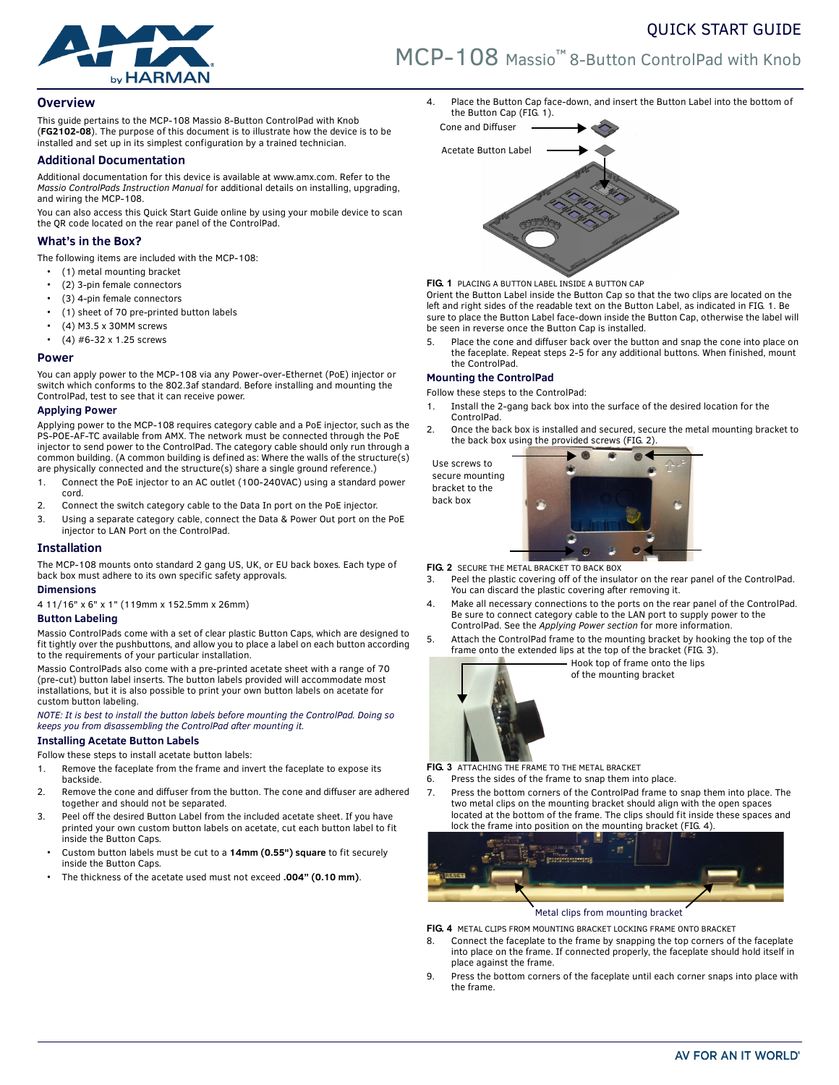



# **Overview**

This guide pertains to the MCP-108 Massio 8-Button ControlPad with Knob (**FG2102-08**). The purpose of this document is to illustrate how the device is to be installed and set up in its simplest configuration by a trained technician.

### **Additional Documentation**

Additional documentation for this device is available at www.amx.com. Refer to the *Massio ControlPads Instruction Manual* for additional details on installing, upgrading, and wiring the MCP-108.

You can also access this Quick Start Guide online by using your mobile device to scan the QR code located on the rear panel of the ControlPad.

# **What's in the Box?**

The following items are included with the MCP-108:

- (1) metal mounting bracket
- (2) 3-pin female connectors
- (3) 4-pin female connectors
- (1) sheet of 70 pre-printed button labels
- (4) M3.5 x 30MM screws
- (4) #6-32 x 1.25 screws

### **Power**

You can apply power to the MCP-108 via any Power-over-Ethernet (PoE) injector or switch which conforms to the 802.3af standard. Before installing and mounting the ControlPad, test to see that it can receive power.

### **Applying Power**

Applying power to the MCP-108 requires category cable and a PoE injector, such as the PS-POE-AF-TC available from AMX. The network must be connected through the PoE injector to send power to the ControlPad. The category cable should only run through a common building. (A common building is defined as: Where the walls of the structure(s) are physically connected and the structure(s) share a single ground reference.)

- 1. Connect the PoE injector to an AC outlet (100-240VAC) using a standard power cord.
- 2. Connect the switch category cable to the Data In port on the PoE injector.
- 3. Using a separate category cable, connect the Data & Power Out port on the PoE injector to LAN Port on the ControlPad.

# **Installation**

The MCP-108 mounts onto standard 2 gang US, UK, or EU back boxes. Each type of back box must adhere to its own specific safety approvals.

### **Dimensions**

4 11/16" x 6" x 1" (119mm x 152.5mm x 26mm)

# **Button Labeling**

Massio ControlPads come with a set of clear plastic Button Caps, which are designed to fit tightly over the pushbuttons, and allow you to place a label on each button according to the requirements of your particular installation.

Massio ControlPads also come with a pre-printed acetate sheet with a range of 70 (pre-cut) button label inserts. The button labels provided will accommodate most installations, but it is also possible to print your own button labels on acetate for custom button labeling.

*NOTE: It is best to install the button labels before mounting the ControlPad. Doing so keeps you from disassembling the ControlPad after mounting it.*

### **Installing Acetate Button Labels**

Follow these steps to install acetate button labels:

- 1. Remove the faceplate from the frame and invert the faceplate to expose its backside.
- 2. Remove the cone and diffuser from the button. The cone and diffuser are adhered together and should not be separated.
- 3. Peel off the desired Button Label from the included acetate sheet. If you have printed your own custom button labels on acetate, cut each button label to fit inside the Button Caps.
- Custom button labels must be cut to a **14mm (0.55") square** to fit securely inside the Button Caps.
- The thickness of the acetate used must not exceed **.004" (0.10 mm)**.

4. Place the Button Cap face-down, and insert the Button Label into the bottom of the Button Cap ([FIG. 1\)](#page-0-1).



<span id="page-0-1"></span>**FIG. 1** PLACING A BUTTON LABEL INSIDE A BUTTON CAP

Orient the Button Label inside the Button Cap so that the two clips are located on the left and right sides of the readable text on the Button Label, as indicated in [FIG. 1.](#page-0-1) Be sure to place the Button Label face-down inside the Button Cap, otherwise the label will be seen in reverse once the Button Cap is installed.

5. Place the cone and diffuser back over the button and snap the cone into place on the faceplate. Repeat steps 2-5 for any additional buttons. When finished, mount the ControlPad.

### **Mounting the ControlPad**

Follow these steps to the ControlPad:

- 1. Install the 2-gang back box into the surface of the desired location for the ControlPad.
- 2. Once the back box is installed and secured, secure the metal mounting bracket to the back box using the provided screws ([FIG. 2\)](#page-0-0).

Use screws to secure mounting bracket to the back box



<span id="page-0-0"></span>**FIG. 2** SECURE THE METAL BRACKET TO BACK BOX

- 3. Peel the plastic covering off of the insulator on the rear panel of the ControlPad. You can discard the plastic covering after removing it.
- 4. Make all necessary connections to the ports on the rear panel of the ControlPad. Be sure to connect category cable to the LAN port to supply power to the ControlPad. See the *Applying Power section* for more information.
- 5. Attach the ControlPad frame to the mounting bracket by hooking the top of the frame onto the extended lips at the top of the bracket ([FIG. 3\)](#page-0-2).



Hook top of frame onto the lips of the mounting bracket

<span id="page-0-2"></span>**FIG. 3** ATTACHING THE FRAME TO THE METAL BRACKET

- 6. Press the sides of the frame to snap them into place.
- 7. Press the bottom corners of the ControlPad frame to snap them into place. The two metal clips on the mounting bracket should align with the open spaces located at the bottom of the frame. The clips should fit inside these spaces and lock the frame into position on the mounting bracket ([FIG. 4\)](#page-0-3).



Metal clips from mounting bracket

<span id="page-0-3"></span>**FIG. 4** METAL CLIPS FROM MOUNTING BRACKET LOCKING FRAME ONTO BRACKET

- 8. Connect the faceplate to the frame by snapping the top corners of the faceplate into place on the frame. If connected properly, the faceplate should hold itself in place against the frame.
- 9. Press the bottom corners of the faceplate until each corner snaps into place with the frame.